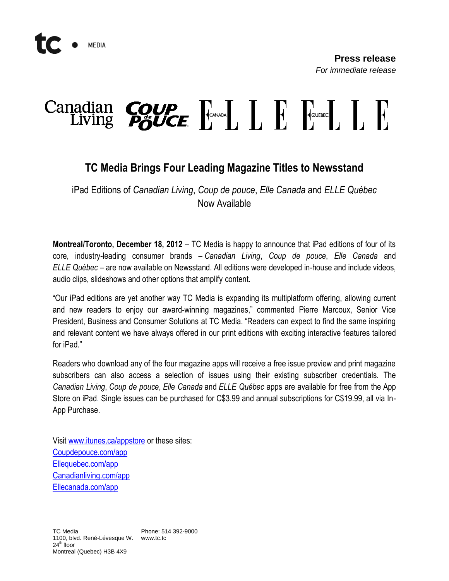## 

## **TC Media Brings Four Leading Magazine Titles to Newsstand**

iPad Editions of *Canadian Living*, *Coup de pouce*, *Elle Canada* and *ELLE Québec* Now Available

**Montreal/Toronto, December 18, 2012** – TC Media is happy to announce that iPad editions of four of its core, industry-leading consumer brands – *Canadian Living*, *Coup de pouce*, *Elle Canada* and *ELLE Québec* – are now available on Newsstand. All editions were developed in-house and include videos, audio clips, slideshows and other options that amplify content.

"Our iPad editions are yet another way TC Media is expanding its multiplatform offering, allowing current and new readers to enjoy our award-winning magazines," commented Pierre Marcoux, Senior Vice President, Business and Consumer Solutions at TC Media. "Readers can expect to find the same inspiring and relevant content we have always offered in our print editions with exciting interactive features tailored for iPad."

Readers who download any of the four magazine apps will receive a free issue preview and print magazine subscribers can also access a selection of issues using their existing subscriber credentials. The *Canadian Living*, *Coup de pouce*, *Elle Canada* and *ELLE Québec* apps are available for free from the App Store on iPad. Single issues can be purchased for C\$3.99 and annual subscriptions for C\$19.99, all via In-App Purchase.

Visit [www.itunes.ca/appstore](http://www.itunes.ca/appstore) or these sites: [Coupdepouce.com/app](https://itunes.apple.com/ca/app/magazine-coup-de-pouce/id561417294?mt=8&uo=4%22%20target=%22itunes_store%22) [Ellequebec.com/app](https://itunes.apple.com/ca/app/magazine-elle-quebec/id561414839?mt=8&uo=4%22%20target=%22itunes_store%22) [Canadianliving.com/app](https://itunes.apple.com/ca/app/canadian-living-magazine/id561416669?mt=8&uo=4%22%20target=%22itunes_store%22) [Ellecanada.com/app](https://itunes.apple.com/ca/app/elle-canada-magazine/id561418415?mt=8&uo=4%22%20target=%22itunes_store%22)